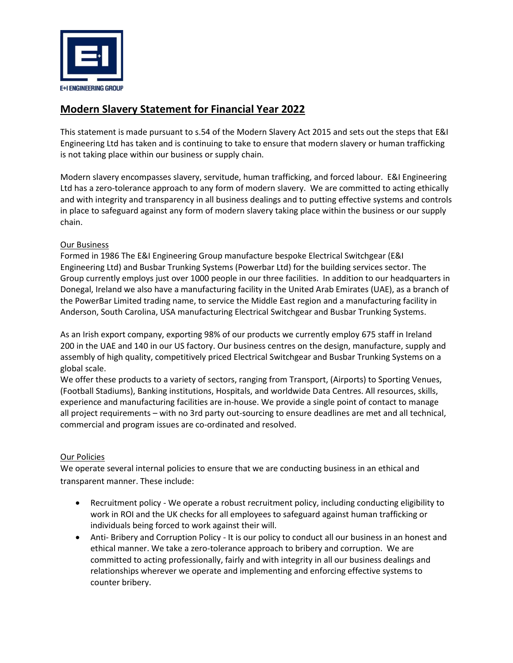

# **Modern Slavery Statement for Financial Year 2022**

This statement is made pursuant to s.54 of the Modern Slavery Act 2015 and sets out the steps that E&I Engineering Ltd has taken and is continuing to take to ensure that modern slavery or human trafficking is not taking place within our business or supply chain.

Modern slavery encompasses slavery, servitude, human trafficking, and forced labour. E&I Engineering Ltd has a zero-tolerance approach to any form of modern slavery. We are committed to acting ethically and with integrity and transparency in all business dealings and to putting effective systems and controls in place to safeguard against any form of modern slavery taking place within the business or our supply chain.

# Our Business

Formed in 1986 The E&I Engineering Group manufacture bespoke Electrical Switchgear (E&I Engineering Ltd) and Busbar Trunking Systems (Powerbar Ltd) for the building services sector. The Group currently employs just over 1000 people in our three facilities. In addition to our headquarters in Donegal, Ireland we also have a manufacturing facility in the United Arab Emirates (UAE), as a branch of the PowerBar Limited trading name, to service the Middle East region and a manufacturing facility in Anderson, South Carolina, USA manufacturing Electrical Switchgear and Busbar Trunking Systems.

As an Irish export company, exporting 98% of our products we currently employ 675 staff in Ireland 200 in the UAE and 140 in our US factory. Our business centres on the design, manufacture, supply and assembly of high quality, competitively priced Electrical Switchgear and Busbar Trunking Systems on a global scale.

We offer these products to a variety of sectors, ranging from Transport, (Airports) to Sporting Venues, (Football Stadiums), Banking institutions, Hospitals, and worldwide Data Centres. All resources, skills, experience and manufacturing facilities are in-house. We provide a single point of contact to manage all project requirements – with no 3rd party out-sourcing to ensure deadlines are met and all technical, commercial and program issues are co-ordinated and resolved.

# Our Policies

We operate several internal policies to ensure that we are conducting business in an ethical and transparent manner. These include:

- Recruitment policy We operate a robust recruitment policy, including conducting eligibility to work in ROI and the UK checks for all employees to safeguard against human trafficking or individuals being forced to work against their will.
- Anti- Bribery and Corruption Policy It is our policy to conduct all our business in an honest and ethical manner. We take a zero-tolerance approach to bribery and corruption. We are committed to acting professionally, fairly and with integrity in all our business dealings and relationships wherever we operate and implementing and enforcing effective systems to counter bribery.